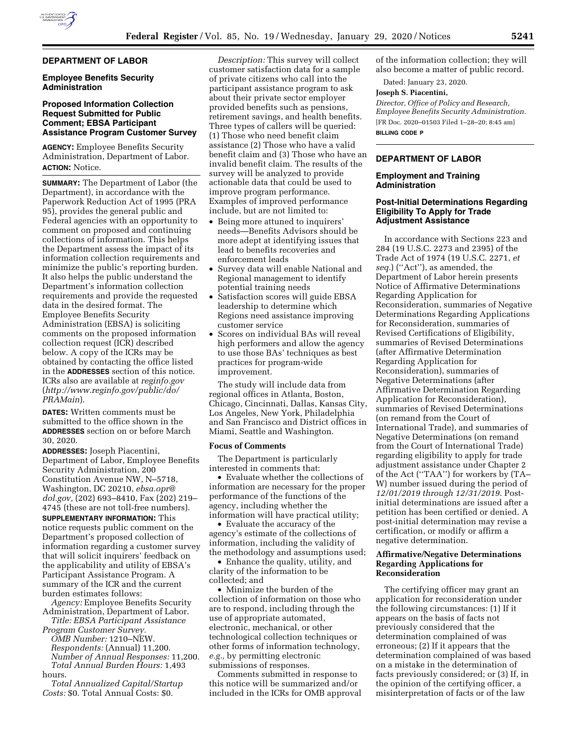

#### **DEPARTMENT OF LABOR**

#### **Employee Benefits Security Administration**

### **Proposed Information Collection Request Submitted for Public Comment; EBSA Participant Assistance Program Customer Survey**

**AGENCY:** Employee Benefits Security Administration, Department of Labor. **ACTION:** Notice.

**SUMMARY:** The Department of Labor (the Department), in accordance with the Paperwork Reduction Act of 1995 (PRA 95), provides the general public and Federal agencies with an opportunity to comment on proposed and continuing collections of information. This helps the Department assess the impact of its information collection requirements and minimize the public's reporting burden. It also helps the public understand the Department's information collection requirements and provide the requested data in the desired format. The Employee Benefits Security Administration (EBSA) is soliciting comments on the proposed information collection request (ICR) described below. A copy of the ICRs may be obtained by contacting the office listed in the **ADDRESSES** section of this notice. ICRs also are available at *reginfo.gov*  (*[http://www.reginfo.gov/public/do/](http://www.reginfo.gov/public/do/PRAMain) [PRAMain](http://www.reginfo.gov/public/do/PRAMain)*).

**DATES:** Written comments must be submitted to the office shown in the **ADDRESSES** section on or before March 30, 2020.

**ADDRESSES:** Joseph Piacentini, Department of Labor, Employee Benefits Security Administration, 200 Constitution Avenue NW, N–5718, Washington, DC 20210, *[ebsa.opr@](mailto:ebsa.opr@dol.gov) [dol.gov,](mailto:ebsa.opr@dol.gov)* (202) 693–8410, Fax (202) 219– 4745 (these are not toll-free numbers).

**SUPPLEMENTARY INFORMATION:** This notice requests public comment on the Department's proposed collection of information regarding a customer survey that will solicit inquirers' feedback on the applicability and utility of EBSA's Participant Assistance Program. A summary of the ICR and the current burden estimates follows:

*Agency:* Employee Benefits Security Administration, Department of Labor.

*Title: EBSA Participant Assistance Program Customer Survey. OMB Number:* 1210–NEW. *Respondents:* (Annual) 11,200. *Number of Annual Responses:* 11,200. *Total Annual Burden Hours:* 1,493 hours.

*Total Annualized Capital/Startup Costs:* \$0. Total Annual Costs: \$0.

*Description:* This survey will collect customer satisfaction data for a sample of private citizens who call into the participant assistance program to ask about their private sector employer provided benefits such as pensions, retirement savings, and health benefits. Three types of callers will be queried: (1) Those who need benefit claim assistance (2) Those who have a valid benefit claim and (3) Those who have an invalid benefit claim. The results of the survey will be analyzed to provide actionable data that could be used to improve program performance. Examples of improved performance include, but are not limited to:

- Being more attuned to inquirers' needs—Benefits Advisors should be more adept at identifying issues that lead to benefits recoveries and enforcement leads
- Survey data will enable National and Regional management to identify potential training needs
- Satisfaction scores will guide EBSA leadership to determine which Regions need assistance improving customer service
- Scores on individual BAs will reveal high performers and allow the agency to use those BAs' techniques as best practices for program-wide improvement.

The study will include data from regional offices in Atlanta, Boston, Chicago, Cincinnati, Dallas, Kansas City, Los Angeles, New York, Philadelphia and San Francisco and District offices in Miami, Seattle and Washington.

# **Focus of Comments**

The Department is particularly interested in comments that:

• Evaluate whether the collections of information are necessary for the proper performance of the functions of the agency, including whether the information will have practical utility;

• Evaluate the accuracy of the agency's estimate of the collections of information, including the validity of the methodology and assumptions used;

• Enhance the quality, utility, and clarity of the information to be collected; and

• Minimize the burden of the collection of information on those who are to respond, including through the use of appropriate automated, electronic, mechanical, or other technological collection techniques or other forms of information technology, *e.g.,* by permitting electronic submissions of responses.

Comments submitted in response to this notice will be summarized and/or included in the ICRs for OMB approval

of the information collection; they will also become a matter of public record.

Dated: January 23, 2020.

### **Joseph S. Piacentini,**

*Director, Office of Policy and Research, Employee Benefits Security Administration.*  [FR Doc. 2020–01503 Filed 1–28–20; 8:45 am] **BILLING CODE P** 

#### **DEPARTMENT OF LABOR**

#### **Employment and Training Administration**

### **Post-Initial Determinations Regarding Eligibility To Apply for Trade Adjustment Assistance**

In accordance with Sections 223 and 284 (19 U.S.C. 2273 and 2395) of the Trade Act of 1974 (19 U.S.C. 2271, *et seq.*) (''Act''), as amended, the Department of Labor herein presents Notice of Affirmative Determinations Regarding Application for Reconsideration, summaries of Negative Determinations Regarding Applications for Reconsideration, summaries of Revised Certifications of Eligibility, summaries of Revised Determinations (after Affirmative Determination Regarding Application for Reconsideration), summaries of Negative Determinations (after Affirmative Determination Regarding Application for Reconsideration), summaries of Revised Determinations (on remand from the Court of International Trade), and summaries of Negative Determinations (on remand from the Court of International Trade) regarding eligibility to apply for trade adjustment assistance under Chapter 2 of the Act (''TAA'') for workers by (TA– W) number issued during the period of *12/01/2019 through 12/31/2019*. Postinitial determinations are issued after a petition has been certified or denied. A post-initial determination may revise a certification, or modify or affirm a negative determination.

### **Affirmative/Negative Determinations Regarding Applications for Reconsideration**

The certifying officer may grant an application for reconsideration under the following circumstances: (1) If it appears on the basis of facts not previously considered that the determination complained of was erroneous; (2) If it appears that the determination complained of was based on a mistake in the determination of facts previously considered; or (3) If, in the opinion of the certifying officer, a misinterpretation of facts or of the law